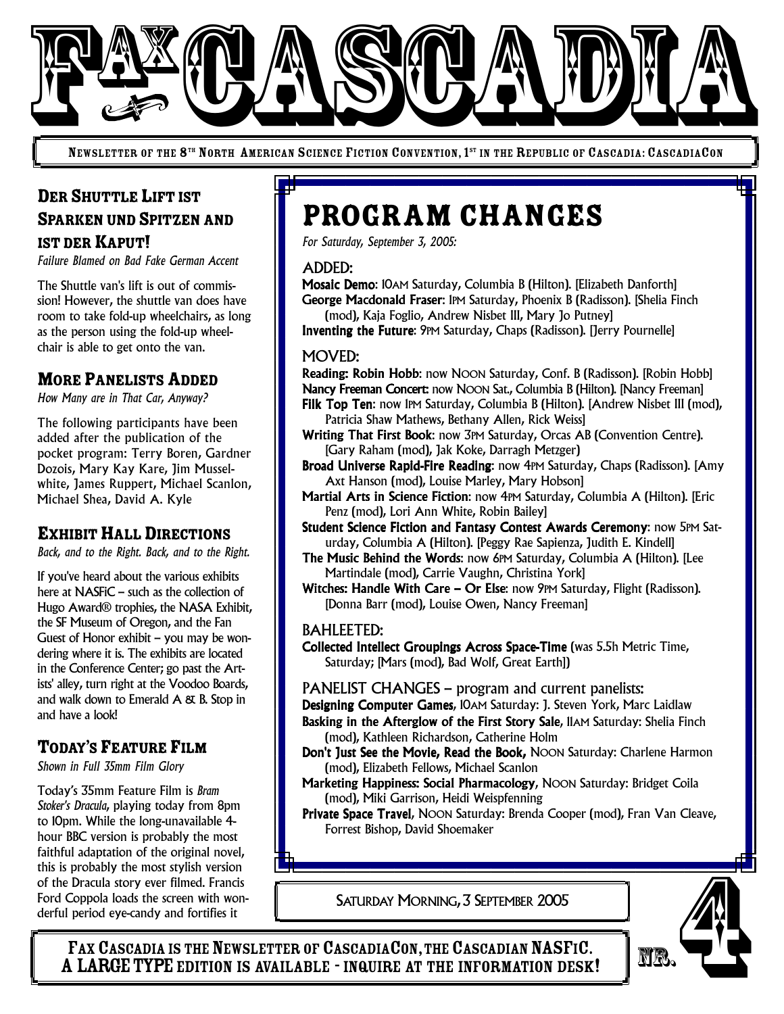

NEWSLETTER OF THE 8<sup>th</sup> North American Science Fiction Convention, 1<sup>st</sup> in the Republic of Cascadia: CascadiaCon

# DER SHUTTLE LIFT IST SPARKEN UND SPITZEN AND IST DER KAPUT!

*Failure Blamed on Bad Fake German Accent*

The Shuttle van's lift is out of commission! However, the shuttle van does have room to take fold-up wheelchairs, as long as the person using the fold-up wheelchair is able to get onto the van.

## **MORE PANELISTS ADDED**

*How Many are in That Car, Anyway?*

The following participants have been added after the publication of the pocket program: Terry Boren, Gardner Dozois, Mary Kay Kare, Jim Musselwhite, James Ruppert, Michael Scanlon, Michael Shea, David A. Kyle

## **EXHIBIT HALL DIRECTIONS**

*Back, and to the Right. Back, and to the Right.*

If you've heard about the various exhibits here at NASFIC – such as the collection of Hugo Award® trophies, the NASA Exhibit, the SF Museum of Oregon, and the Fan Guest of Honor exhibit – you may be wondering where it is. The exhibits are located in the Conference Center; go past the Artists' alley, turn right at the Voodoo Boards, and walk down to Emerald  $A \& B$ . Stop in and have a look!

## TODAY'S FEATURE FILM

*Shown in Full 35mm Film Glory*

Today's 35mm Feature Film is *Bram Stoker's Dracula*, playing today from 8pm to 10pm. While the long-unavailable 4 hour BBC version is probably the most faithful adaptation of the original novel, this is probably the most stylish version of the Dracula story ever filmed. Francis Ford Coppola loads the screen with wonderful period eye-candy and fortifies it

# Program Changes

*For Saturday, September 3, 2005:*

#### ADDED:

Mosaic Demo: 10AM Saturday, Columbia B (Hilton). [Elizabeth Danforth] George Macdonald Fraser: 1PM Saturday, Phoenix B (Radisson). [Shelia Finch

(mod), Kaja Foglio, Andrew Nisbet III, Mary Jo Putney] Inventing the Future: 9PM Saturday, Chaps (Radisson). [Jerry Pournelle]

#### MOVED:

Reading: Robin Hobb: now NOON Saturday, Conf. B (Radisson). [Robin Hobb] Nancy Freeman Concert: now NOON Sat., Columbia B (Hilton). [Nancy Freeman]

- Filk Top Ten: now 1PM Saturday, Columbia B (Hilton). [Andrew Nisbet III (mod), Patricia Shaw Mathews, Bethany Allen, Rick Weiss]
- Writing That First Book: now 3PM Saturday, Orcas AB (Convention Centre). [Gary Raham (mod), Jak Koke, Darragh Metzger)
- Broad Universe Rapid-Fire Reading: now 4PM Saturday, Chaps (Radisson). [Amy Axt Hanson (mod), Louise Marley, Mary Hobson]
- Martial Arts in Science Fiction: now 4PM Saturday, Columbia A (Hilton). [Eric Penz (mod), Lori Ann White, Robin Bailey]
- Student Science Fiction and Fantasy Contest Awards Ceremony: now 5PM Saturday, Columbia A (Hilton). [Peggy Rae Sapienza, Judith E. Kindell]
- The Music Behind the Words: now 6PM Saturday, Columbia A (Hilton). [Lee Martindale (mod), Carrie Vaughn, Christina York]
- Witches: Handle With Care Or Else: now 9PM Saturday, Flight (Radisson). [Donna Barr (mod), Louise Owen, Nancy Freeman]

#### BAHLEETED:

- Collected Intellect Groupings Across Space-Time (was 5.5h Metric Time, Saturday; [Mars (mod), Bad Wolf, Great Earth])
- PANELIST CHANGES program and current panelists:
- Designing Computer Games, 10AM Saturday: J. Steven York, Marc Laidlaw
- Basking in the Afterglow of the First Story Sale, IIAM Saturday: Shelia Finch (mod), Kathleen Richardson, Catherine Holm
- Don't Just See the Movie, Read the Book, NOON Saturday: Charlene Harmon (mod), Elizabeth Fellows, Michael Scanlon
- Marketing Happiness: Social Pharmacology, NOON Saturday: Bridget Coila (mod), Miki Garrison, Heidi Weispfenning
- Private Space Travel, NOON Saturday: Brenda Cooper (mod), Fran Van Cleave, Forrest Bishop, David Shoemaker

SATURDAY MORNING, 3 SEPTEMBER 2005



FAX CASCADIA IS THE NEWSLETTER OF CASCADIACON, THE CASCADIAN NASFIC. A LARGE TYPE EDITION IS AVAILABLE - INQUIRE AT THE INFORMATION DESK!